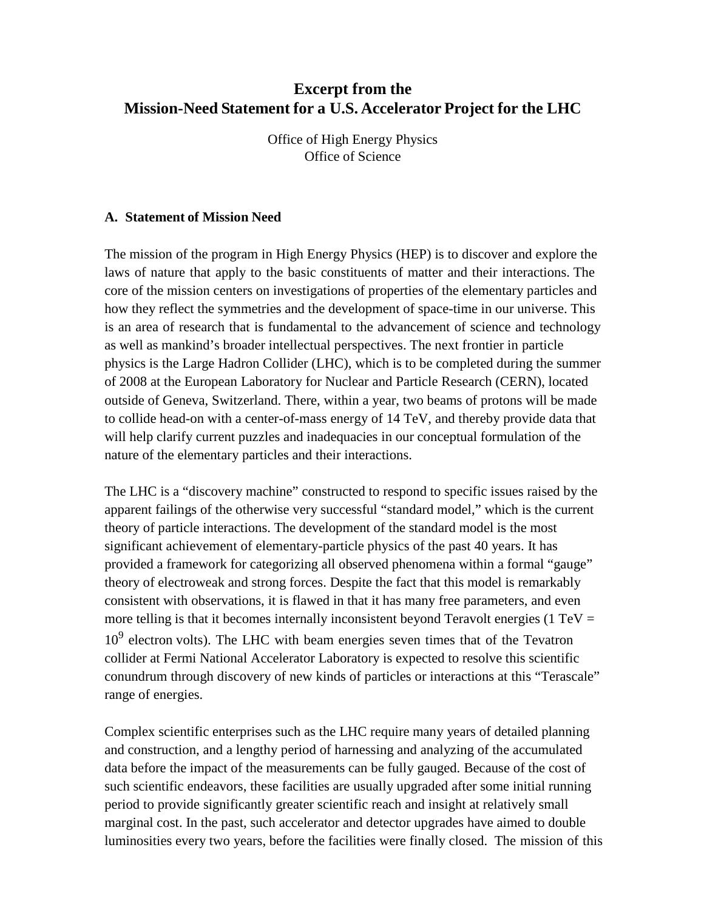# **Excerpt from the Mission-Need Statement for a U.S. Accelerator Project for the LHC**

Office of High Energy Physics Office of Science

#### **A. Statement of Mission Need**

The mission of the program in High Energy Physics (HEP) is to discover and explore the laws of nature that apply to the basic constituents of matter and their interactions. The core of the mission centers on investigations of properties of the elementary particles and how they reflect the symmetries and the development of space-time in our universe. This is an area of research that is fundamental to the advancement of science and technology as well as mankind's broader intellectual perspectives. The next frontier in particle physics is the Large Hadron Collider (LHC), which is to be completed during the summer of 2008 at the European Laboratory for Nuclear and Particle Research (CERN), located outside of Geneva, Switzerland. There, within a year, two beams of protons will be made to collide head-on with a center-of-mass energy of 14 TeV, and thereby provide data that will help clarify current puzzles and inadequacies in our conceptual formulation of the nature of the elementary particles and their interactions.

The LHC is a "discovery machine" constructed to respond to specific issues raised by the apparent failings of the otherwise very successful "standard model," which is the current theory of particle interactions. The development of the standard model is the most significant achievement of elementary-particle physics of the past 40 years. It has provided a framework for categorizing all observed phenomena within a formal "gauge" theory of electroweak and strong forces. Despite the fact that this model is remarkably consistent with observations, it is flawed in that it has many free parameters, and even more telling is that it becomes internally inconsistent beyond Teravolt energies (1 TeV  $=$  $10<sup>9</sup>$  electron volts). The LHC with beam energies seven times that of the Tevatron collider at Fermi National Accelerator Laboratory is expected to resolve this scientific conundrum through discovery of new kinds of particles or interactions at this "Terascale" range of energies.

Complex scientific enterprises such as the LHC require many years of detailed planning and construction, and a lengthy period of harnessing and analyzing of the accumulated data before the impact of the measurements can be fully gauged. Because of the cost of such scientific endeavors, these facilities are usually upgraded after some initial running period to provide significantly greater scientific reach and insight at relatively small marginal cost. In the past, such accelerator and detector upgrades have aimed to double luminosities every two years, before the facilities were finally closed. The mission of this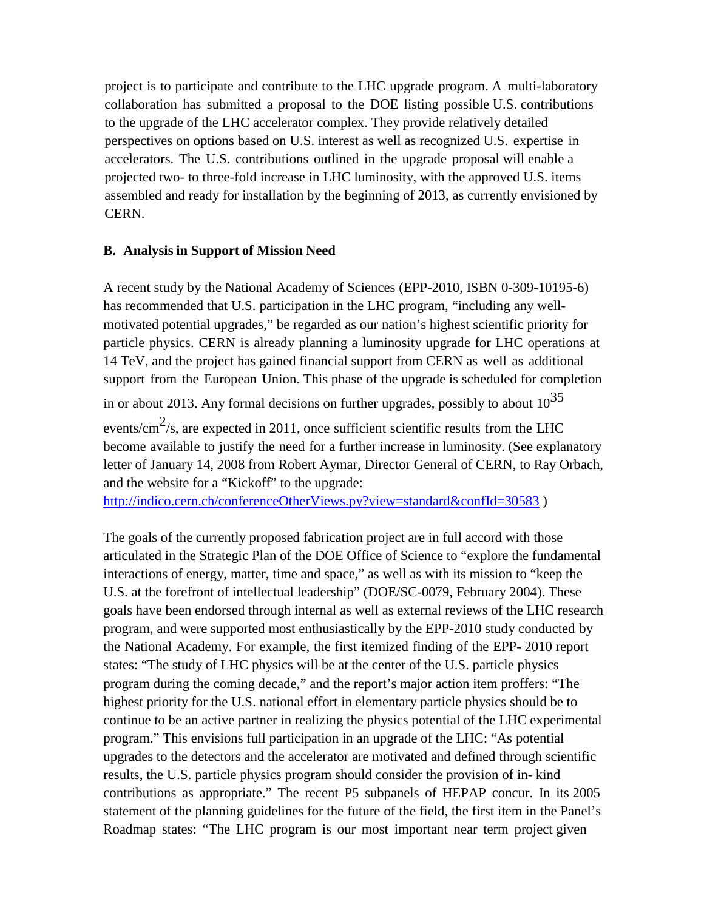project is to participate and contribute to the LHC upgrade program. A multi-laboratory collaboration has submitted a proposal to the DOE listing possible U.S. contributions to the upgrade of the LHC accelerator complex. They provide relatively detailed perspectives on options based on U.S. interest as well as recognized U.S. expertise in accelerators. The U.S. contributions outlined in the upgrade proposal will enable a projected two- to three-fold increase in LHC luminosity, with the approved U.S. items assembled and ready for installation by the beginning of 2013, as currently envisioned by CERN.

#### **B. Analysis in Support of Mission Need**

A recent study by the National Academy of Sciences (EPP-2010, ISBN 0-309-10195-6) has recommended that U.S. participation in the LHC program, "including any wellmotivated potential upgrades," be regarded as our nation's highest scientific priority for particle physics. CERN is already planning a luminosity upgrade for LHC operations at 14 TeV, and the project has gained financial support from CERN as well as additional support from the European Union. This phase of the upgrade is scheduled for completion

in or about 2013. Any formal decisions on further upgrades, possibly to about  $10^{35}$ 

events/ $\text{cm}^2$ /s, are expected in 2011, once sufficient scientific results from the LHC become available to justify the need for a further increase in luminosity. (See explanatory letter of January 14, 2008 from Robert Aymar, Director General of CERN, to Ray Orbach, and the website for a "Kickoff" to the upgrade:

<http://indico.cern.ch/conferenceOtherViews.py?view=standard&confId=30583>)

The goals of the currently proposed fabrication project are in full accord with those articulated in the Strategic Plan of the DOE Office of Science to "explore the fundamental interactions of energy, matter, time and space," as well as with its mission to "keep the U.S. at the forefront of intellectual leadership" (DOE/SC-0079, February 2004). These goals have been endorsed through internal as well as external reviews of the LHC research program, and were supported most enthusiastically by the EPP-2010 study conducted by the National Academy. For example, the first itemized finding of the EPP- 2010 report states: "The study of LHC physics will be at the center of the U.S. particle physics program during the coming decade," and the report's major action item proffers: "The highest priority for the U.S. national effort in elementary particle physics should be to continue to be an active partner in realizing the physics potential of the LHC experimental program." This envisions full participation in an upgrade of the LHC: "As potential upgrades to the detectors and the accelerator are motivated and defined through scientific results, the U.S. particle physics program should consider the provision of in- kind contributions as appropriate." The recent P5 subpanels of HEPAP concur. In its 2005 statement of the planning guidelines for the future of the field, the first item in the Panel's Roadmap states: "The LHC program is our most important near term project given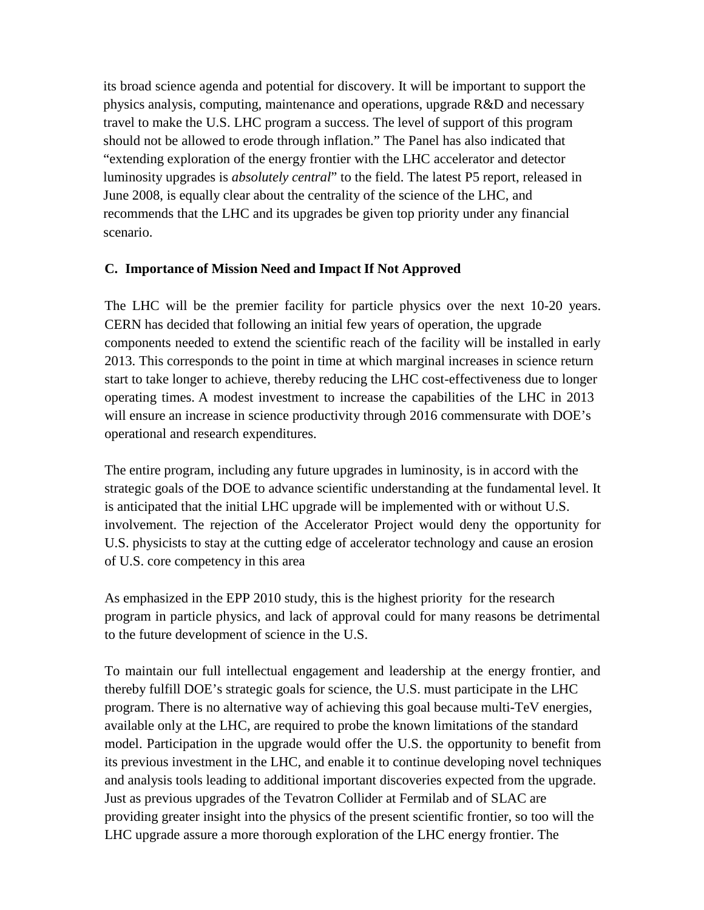its broad science agenda and potential for discovery. It will be important to support the physics analysis, computing, maintenance and operations, upgrade R&D and necessary travel to make the U.S. LHC program a success. The level of support of this program should not be allowed to erode through inflation." The Panel has also indicated that "extending exploration of the energy frontier with the LHC accelerator and detector luminosity upgrades is *absolutely central*" to the field. The latest P5 report, released in June 2008, is equally clear about the centrality of the science of the LHC, and recommends that the LHC and its upgrades be given top priority under any financial scenario.

#### **C. Importance of Mission Need and Impact If Not Approved**

The LHC will be the premier facility for particle physics over the next 10-20 years. CERN has decided that following an initial few years of operation, the upgrade components needed to extend the scientific reach of the facility will be installed in early 2013. This corresponds to the point in time at which marginal increases in science return start to take longer to achieve, thereby reducing the LHC cost-effectiveness due to longer operating times. A modest investment to increase the capabilities of the LHC in 2013 will ensure an increase in science productivity through 2016 commensurate with DOE's operational and research expenditures.

The entire program, including any future upgrades in luminosity, is in accord with the strategic goals of the DOE to advance scientific understanding at the fundamental level. It is anticipated that the initial LHC upgrade will be implemented with or without U.S. involvement. The rejection of the Accelerator Project would deny the opportunity for U.S. physicists to stay at the cutting edge of accelerator technology and cause an erosion of U.S. core competency in this area

As emphasized in the EPP 2010 study, this is the highest priority for the research program in particle physics, and lack of approval could for many reasons be detrimental to the future development of science in the U.S.

To maintain our full intellectual engagement and leadership at the energy frontier, and thereby fulfill DOE's strategic goals for science, the U.S. must participate in the LHC program. There is no alternative way of achieving this goal because multi-TeV energies, available only at the LHC, are required to probe the known limitations of the standard model. Participation in the upgrade would offer the U.S. the opportunity to benefit from its previous investment in the LHC, and enable it to continue developing novel techniques and analysis tools leading to additional important discoveries expected from the upgrade. Just as previous upgrades of the Tevatron Collider at Fermilab and of SLAC are providing greater insight into the physics of the present scientific frontier, so too will the LHC upgrade assure a more thorough exploration of the LHC energy frontier. The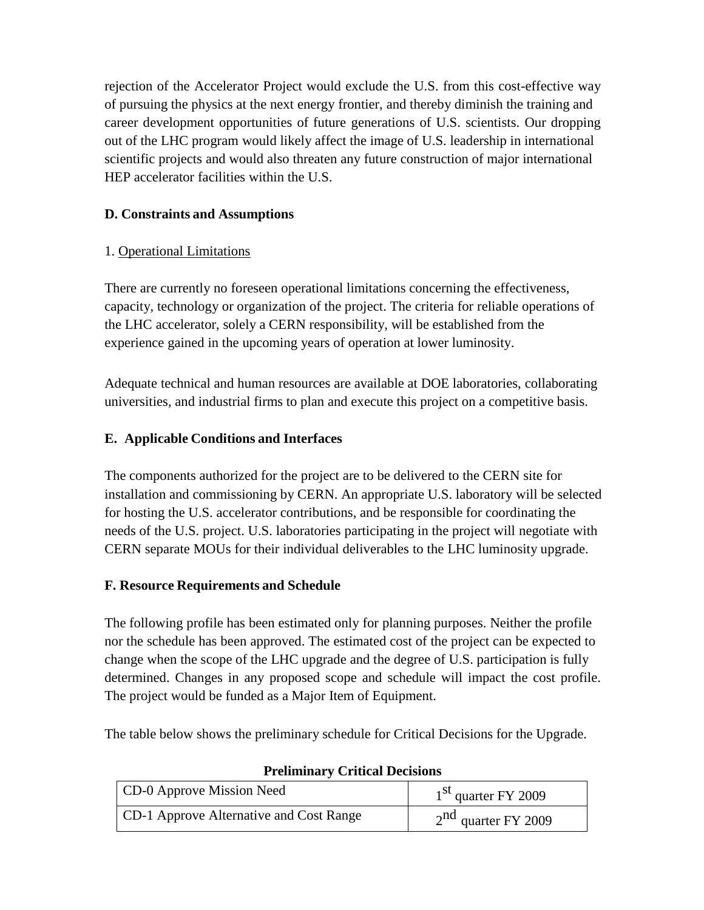rejection of the Accelerator Project would exclude the U.S. from this cost-effective way of pursuing the physics at the next energy frontier, and thereby diminish the training and career development opportunities of future generations of U.S. scientists. Our dropping out of the LHC program would likely affect the image of U.S. leadership in international scientific projects and would also threaten any future construction of major international HEP accelerator facilities within the U.S.

# **D. Constraints and Assumptions**

### 1. Operational Limitations

There are currently no foreseen operational limitations concerning the effectiveness, capacity, technology or organization of the project. The criteria for reliable operations of the LHC accelerator, solely a CERN responsibility, will be established from the experience gained in the upcoming years of operation at lower luminosity.

Adequate technical and human resources are available at DOE laboratories, collaborating universities, and industrial firms to plan and execute this project on a competitive basis.

# **E. Applicable Conditions and Interfaces**

The components authorized for the project are to be delivered to the CERN site for installation and commissioning by CERN. An appropriate U.S. laboratory will be selected for hosting the U.S. accelerator contributions, and be responsible for coordinating the needs of the U.S. project. U.S. laboratories participating in the project will negotiate with CERN separate MOUs for their individual deliverables to the LHC luminosity upgrade.

### **F. Resource Requirements and Schedule**

The following profile has been estimated only for planning purposes. Neither the profile nor the schedule has been approved. The estimated cost of the project can be expected to change when the scope of the LHC upgrade and the degree of U.S. participation is fully determined. Changes in any proposed scope and schedule will impact the cost profile. The project would be funded as a Major Item of Equipment.

The table below shows the preliminary schedule for Critical Decisions for the Upgrade.

| CD-0 Approve Mission Need               | 1 <sup>st</sup> quarter FY 2009 |
|-----------------------------------------|---------------------------------|
| CD-1 Approve Alternative and Cost Range | $2nd$ quarter FY 2009           |

### **Preliminary Critical Decisions**